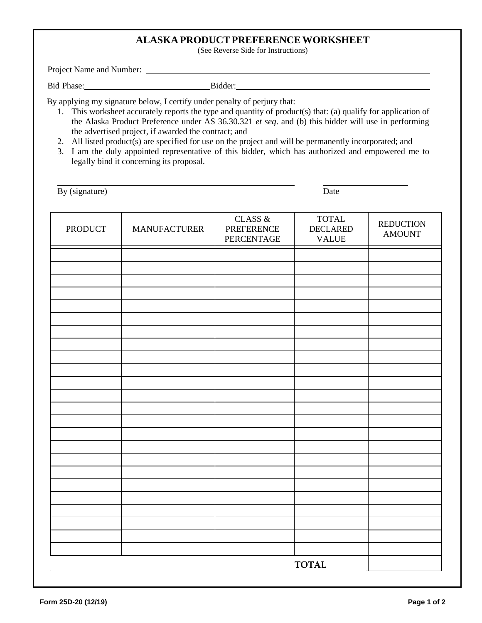# **ALASKA PRODUCTPREFERENCEWORKSHEET**

(See Reverse Side for Instructions)

Project Name and Number:

Bid Phase: Bidder: Bidder:

By applying my signature below, I certify under penalty of perjury that:

- 1. This worksheet accurately reports the type and quantity of product(s) that: (a) qualify for application of the Alaska Product Preference under AS 36.30.321 *et seq*. and (b) this bidder will use in performing the advertised project, if awarded the contract; and
- 2. All listed product(s) are specified for use on the project and will be permanently incorporated; and
- 3. I am the duly appointed representative of this bidder, which has authorized and empowered me to legally bind it concerning its proposal.

By (signature) Date

| <b>PRODUCT</b> | <b>MANUFACTURER</b> | CLASS $\&$<br><b>PREFERENCE</b><br>PERCENTAGE | $\ensuremath{\mathsf{TOTAL}}$<br><b>DECLARED</b><br><b>VALUE</b> | <b>REDUCTION</b><br><b>AMOUNT</b> |
|----------------|---------------------|-----------------------------------------------|------------------------------------------------------------------|-----------------------------------|
|                |                     |                                               |                                                                  |                                   |
|                |                     |                                               |                                                                  |                                   |
|                |                     |                                               |                                                                  |                                   |
|                |                     |                                               |                                                                  |                                   |
|                |                     |                                               |                                                                  |                                   |
|                |                     |                                               |                                                                  |                                   |
|                |                     |                                               |                                                                  |                                   |
|                |                     |                                               |                                                                  |                                   |
|                |                     |                                               |                                                                  |                                   |
|                |                     |                                               |                                                                  |                                   |
|                |                     |                                               |                                                                  |                                   |
|                |                     |                                               |                                                                  |                                   |
|                |                     |                                               |                                                                  |                                   |
|                |                     |                                               |                                                                  |                                   |
|                |                     |                                               |                                                                  |                                   |
|                |                     |                                               |                                                                  |                                   |
|                |                     |                                               |                                                                  |                                   |
|                |                     |                                               |                                                                  |                                   |
|                |                     |                                               |                                                                  |                                   |
|                |                     |                                               |                                                                  |                                   |
|                |                     |                                               |                                                                  |                                   |
|                |                     |                                               |                                                                  |                                   |
|                |                     |                                               |                                                                  |                                   |
|                |                     |                                               | <b>TOTAL</b>                                                     |                                   |
| $\sim$         |                     |                                               |                                                                  |                                   |